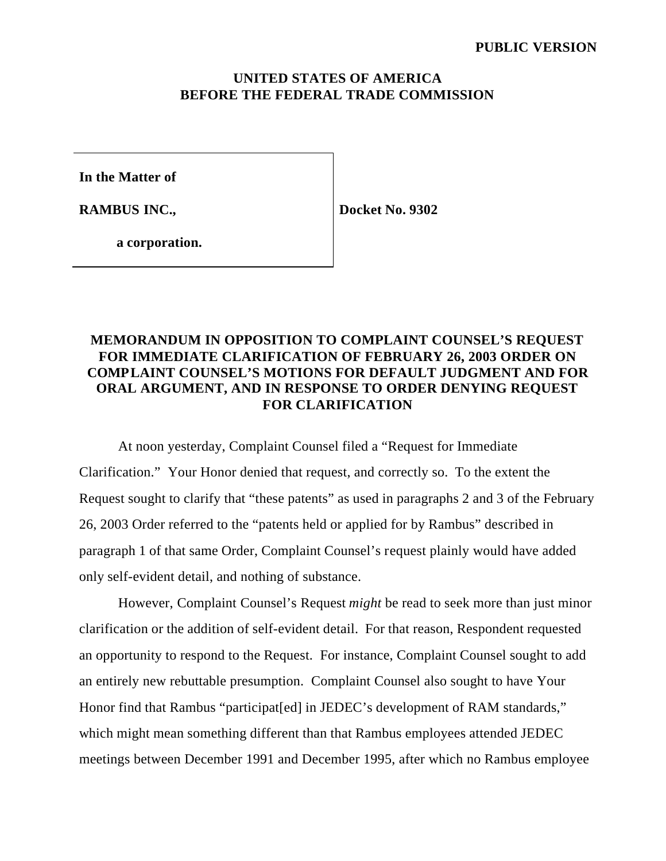## **UNITED STATES OF AMERICA BEFORE THE FEDERAL TRADE COMMISSION**

**In the Matter of**

**RAMBUS INC.,**

**Docket No. 9302**

**a corporation.**

## **MEMORANDUM IN OPPOSITION TO COMPLAINT COUNSEL'S REQUEST FOR IMMEDIATE CLARIFICATION OF FEBRUARY 26, 2003 ORDER ON COMPLAINT COUNSEL'S MOTIONS FOR DEFAULT JUDGMENT AND FOR ORAL ARGUMENT, AND IN RESPONSE TO ORDER DENYING REQUEST FOR CLARIFICATION**

At noon yesterday, Complaint Counsel filed a "Request for Immediate Clarification." Your Honor denied that request, and correctly so. To the extent the Request sought to clarify that "these patents" as used in paragraphs 2 and 3 of the February 26, 2003 Order referred to the "patents held or applied for by Rambus" described in paragraph 1 of that same Order, Complaint Counsel's request plainly would have added only self-evident detail, and nothing of substance.

However, Complaint Counsel's Request *might* be read to seek more than just minor clarification or the addition of self-evident detail. For that reason, Respondent requested an opportunity to respond to the Request. For instance, Complaint Counsel sought to add an entirely new rebuttable presumption. Complaint Counsel also sought to have Your Honor find that Rambus "participat[ed] in JEDEC's development of RAM standards," which might mean something different than that Rambus employees attended JEDEC meetings between December 1991 and December 1995, after which no Rambus employee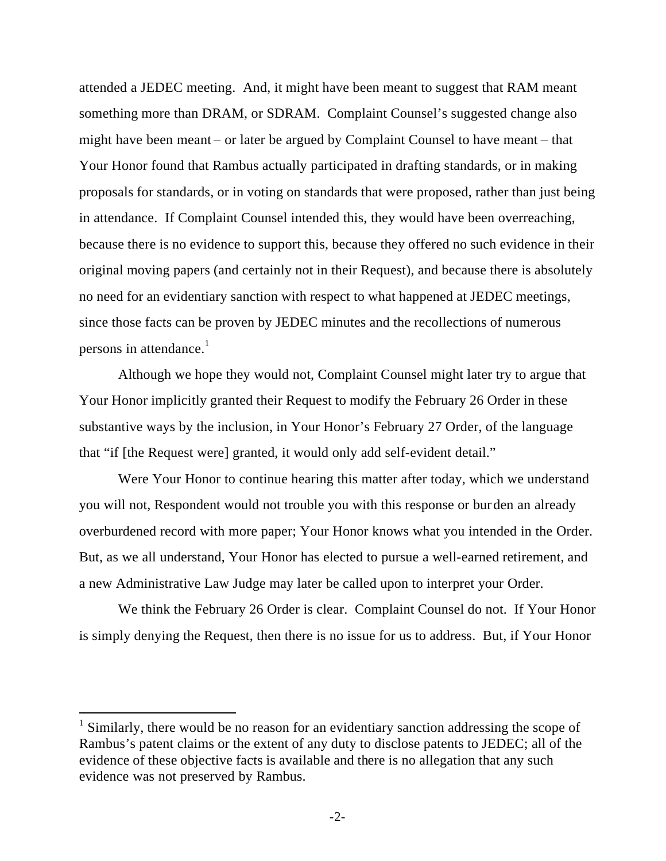attended a JEDEC meeting. And, it might have been meant to suggest that RAM meant something more than DRAM, or SDRAM. Complaint Counsel's suggested change also might have been meant – or later be argued by Complaint Counsel to have meant – that Your Honor found that Rambus actually participated in drafting standards, or in making proposals for standards, or in voting on standards that were proposed, rather than just being in attendance. If Complaint Counsel intended this, they would have been overreaching, because there is no evidence to support this, because they offered no such evidence in their original moving papers (and certainly not in their Request), and because there is absolutely no need for an evidentiary sanction with respect to what happened at JEDEC meetings, since those facts can be proven by JEDEC minutes and the recollections of numerous persons in attendance. $<sup>1</sup>$ </sup>

Although we hope they would not, Complaint Counsel might later try to argue that Your Honor implicitly granted their Request to modify the February 26 Order in these substantive ways by the inclusion, in Your Honor's February 27 Order, of the language that "if [the Request were] granted, it would only add self-evident detail."

Were Your Honor to continue hearing this matter after today, which we understand you will not, Respondent would not trouble you with this response or burden an already overburdened record with more paper; Your Honor knows what you intended in the Order. But, as we all understand, Your Honor has elected to pursue a well-earned retirement, and a new Administrative Law Judge may later be called upon to interpret your Order.

We think the February 26 Order is clear. Complaint Counsel do not. If Your Honor is simply denying the Request, then there is no issue for us to address. But, if Your Honor

 $\overline{a}$ 

<sup>1</sup> Similarly, there would be no reason for an evidentiary sanction addressing the scope of Rambus's patent claims or the extent of any duty to disclose patents to JEDEC; all of the evidence of these objective facts is available and there is no allegation that any such evidence was not preserved by Rambus.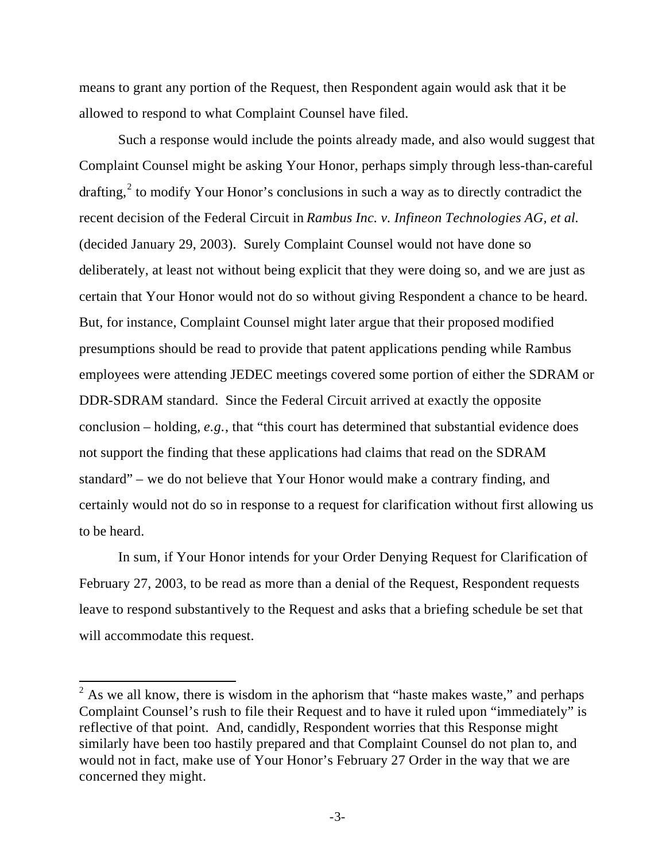means to grant any portion of the Request, then Respondent again would ask that it be allowed to respond to what Complaint Counsel have filed.

Such a response would include the points already made, and also would suggest that Complaint Counsel might be asking Your Honor, perhaps simply through less-than-careful drafting,<sup>2</sup> to modify Your Honor's conclusions in such a way as to directly contradict the recent decision of the Federal Circuit in *Rambus Inc. v. Infineon Technologies AG, et al.* (decided January 29, 2003). Surely Complaint Counsel would not have done so deliberately, at least not without being explicit that they were doing so, and we are just as certain that Your Honor would not do so without giving Respondent a chance to be heard. But, for instance, Complaint Counsel might later argue that their proposed modified presumptions should be read to provide that patent applications pending while Rambus employees were attending JEDEC meetings covered some portion of either the SDRAM or DDR-SDRAM standard. Since the Federal Circuit arrived at exactly the opposite conclusion – holding, *e.g.*, that "this court has determined that substantial evidence does not support the finding that these applications had claims that read on the SDRAM standard" – we do not believe that Your Honor would make a contrary finding, and certainly would not do so in response to a request for clarification without first allowing us to be heard.

In sum, if Your Honor intends for your Order Denying Request for Clarification of February 27, 2003, to be read as more than a denial of the Request, Respondent requests leave to respond substantively to the Request and asks that a briefing schedule be set that will accommodate this request.

 $\frac{1}{2}$  As we all know, there is wisdom in the aphorism that "haste makes waste," and perhaps Complaint Counsel's rush to file their Request and to have it ruled upon "immediately" is reflective of that point. And, candidly, Respondent worries that this Response might similarly have been too hastily prepared and that Complaint Counsel do not plan to, and would not in fact, make use of Your Honor's February 27 Order in the way that we are concerned they might.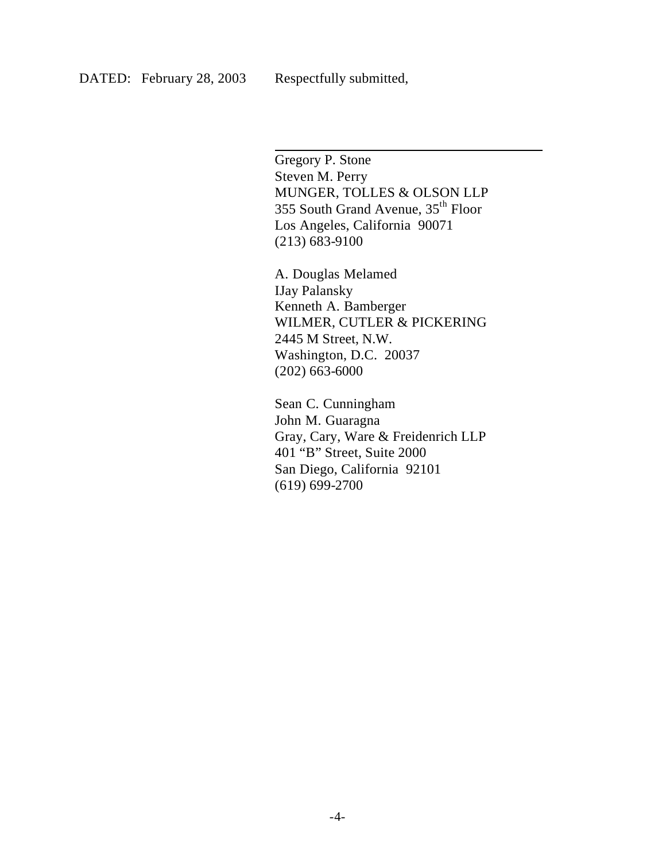$\overline{\phantom{a}}$ 

Gregory P. Stone Steven M. Perry MUNGER, TOLLES & OLSON LLP 355 South Grand Avenue, 35th Floor Los Angeles, California 90071 (213) 683-9100

A. Douglas Melamed IJay Palansky Kenneth A. Bamberger WILMER, CUTLER & PICKERING 2445 M Street, N.W. Washington, D.C. 20037 (202) 663-6000

Sean C. Cunningham John M. Guaragna Gray, Cary, Ware & Freidenrich LLP 401 "B" Street, Suite 2000 San Diego, California 92101 (619) 699-2700